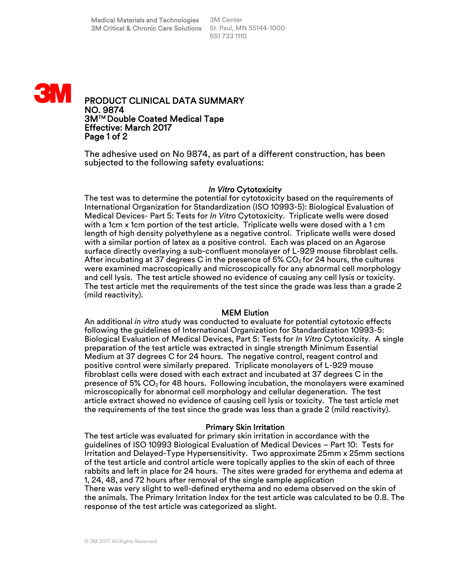

PRODUCT CLINICAL DATA SUMMARY NO. 9874 3MTM Double Coated Medical Tape Effective: March 2017 Page 1 of 2

The adhesive used on No 9874, as part of a different construction, has been subjected to the following safety evaluations:

### *In Vitro* Cytotoxicity

The test was to determine the potential for cytotoxicity based on the requirements of International Organization for Standardization (ISO 10993-5): Biological Evaluation of Medical Devices- Part 5: Tests for *In Vitro* Cytotoxicity. Triplicate wells were dosed with a 1cm x 1cm portion of the test article. Triplicate wells were dosed with a 1 cm length of high density polyethylene as a negative control. Triplicate wells were dosed with a similar portion of latex as a positive control. Each was placed on an Agarose surface directly overlaying a sub-confluent monolayer of L-929 mouse fibroblast cells. After incubating at 37 degrees C in the presence of 5%  $CO<sub>2</sub>$  for 24 hours, the cultures were examined macroscopically and microscopically for any abnormal cell morphology and cell lysis. The test article showed no evidence of causing any cell lysis or toxicity. The test article met the requirements of the test since the grade was less than a grade 2 (mild reactivity).

### MEM Elution

An additional *in vitro* study was conducted to evaluate for potential cytotoxic effects following the guidelines of International Organization for Standardization 10993-5: Biological Evaluation of Medical Devices, Part 5: Tests for *In Vitro* Cytotoxicity. A single preparation of the test article was extracted in single strength Minimum Essential Medium at 37 degrees C for 24 hours. The negative control, reagent control and positive control were similarly prepared. Triplicate monolayers of L-929 mouse fibroblast cells were dosed with each extract and incubated at 37 degrees C in the presence of 5%  $CO<sub>2</sub>$  for 48 hours. Following incubation, the monolayers were examined microscopically for abnormal cell morphology and cellular degeneration. The test article extract showed no evidence of causing cell lysis or toxicity. The test article met the requirements of the test since the grade was less than a grade 2 (mild reactivity).

#### Primary Skin Irritation

The test article was evaluated for primary skin irritation in accordance with the guidelines of ISO 10993 Biological Evaluation of Medical Devices – Part 10: Tests for Irritation and Delayed-Type Hypersensitivity. Two approximate 25mm x 25mm sections of the test article and control article were topically applies to the skin of each of three rabbits and left in place for 24 hours. The sites were graded for erythema and edema at 1, 24, 48, and 72 hours after removal of the single sample application There was very slight to well-defined erythema and no edema observed on the skin of the animals. The Primary Irritation Index for the test article was calculated to be 0.8. The response of the test article was categorized as slight.